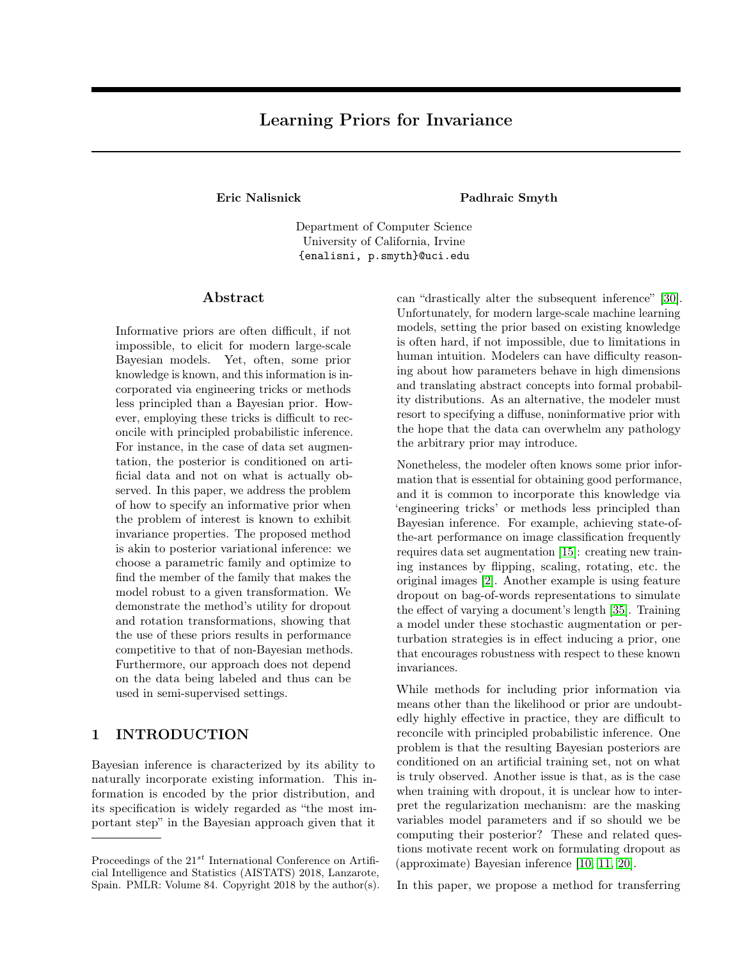# Learning Priors for Invariance

Eric Nalisnick Padhraic Smyth

Department of Computer Science University of California, Irvine {enalisni, p.smyth}@uci.edu

#### Abstract

Informative priors are often difficult, if not impossible, to elicit for modern large-scale Bayesian models. Yet, often, some prior knowledge is known, and this information is incorporated via engineering tricks or methods less principled than a Bayesian prior. However, employing these tricks is difficult to reconcile with principled probabilistic inference. For instance, in the case of data set augmentation, the posterior is conditioned on artificial data and not on what is actually observed. In this paper, we address the problem of how to specify an informative prior when the problem of interest is known to exhibit invariance properties. The proposed method is akin to posterior variational inference: we choose a parametric family and optimize to find the member of the family that makes the model robust to a given transformation. We demonstrate the method's utility for dropout and rotation transformations, showing that the use of these priors results in performance competitive to that of non-Bayesian methods. Furthermore, our approach does not depend on the data being labeled and thus can be used in semi-supervised settings.

### 1 INTRODUCTION

Bayesian inference is characterized by its ability to naturally incorporate existing information. This information is encoded by the prior distribution, and its specification is widely regarded as "the most important step" in the Bayesian approach given that it

can "drastically alter the subsequent inference" [\[30\]](#page-8-0). Unfortunately, for modern large-scale machine learning models, setting the prior based on existing knowledge is often hard, if not impossible, due to limitations in human intuition. Modelers can have difficulty reasoning about how parameters behave in high dimensions and translating abstract concepts into formal probability distributions. As an alternative, the modeler must resort to specifying a diffuse, noninformative prior with the hope that the data can overwhelm any pathology the arbitrary prior may introduce.

Nonetheless, the modeler often knows some prior information that is essential for obtaining good performance, and it is common to incorporate this knowledge via 'engineering tricks' or methods less principled than Bayesian inference. For example, achieving state-ofthe-art performance on image classification frequently requires data set augmentation [\[15\]](#page-8-1): creating new training instances by flipping, scaling, rotating, etc. the original images [\[2\]](#page-7-0). Another example is using feature dropout on bag-of-words representations to simulate the effect of varying a document's length [\[35\]](#page-9-0). Training a model under these stochastic augmentation or perturbation strategies is in effect inducing a prior, one that encourages robustness with respect to these known invariances.

While methods for including prior information via means other than the likelihood or prior are undoubtedly highly effective in practice, they are difficult to reconcile with principled probabilistic inference. One problem is that the resulting Bayesian posteriors are conditioned on an artificial training set, not on what is truly observed. Another issue is that, as is the case when training with dropout, it is unclear how to interpret the regularization mechanism: are the masking variables model parameters and if so should we be computing their posterior? These and related questions motivate recent work on formulating dropout as (approximate) Bayesian inference [\[10,](#page-8-2) [11,](#page-8-3) [20\]](#page-8-4).

In this paper, we propose a method for transferring

Proceedings of the  $21^{st}$  International Conference on Artificial Intelligence and Statistics (AISTATS) 2018, Lanzarote, Spain. PMLR: Volume 84. Copyright 2018 by the author(s).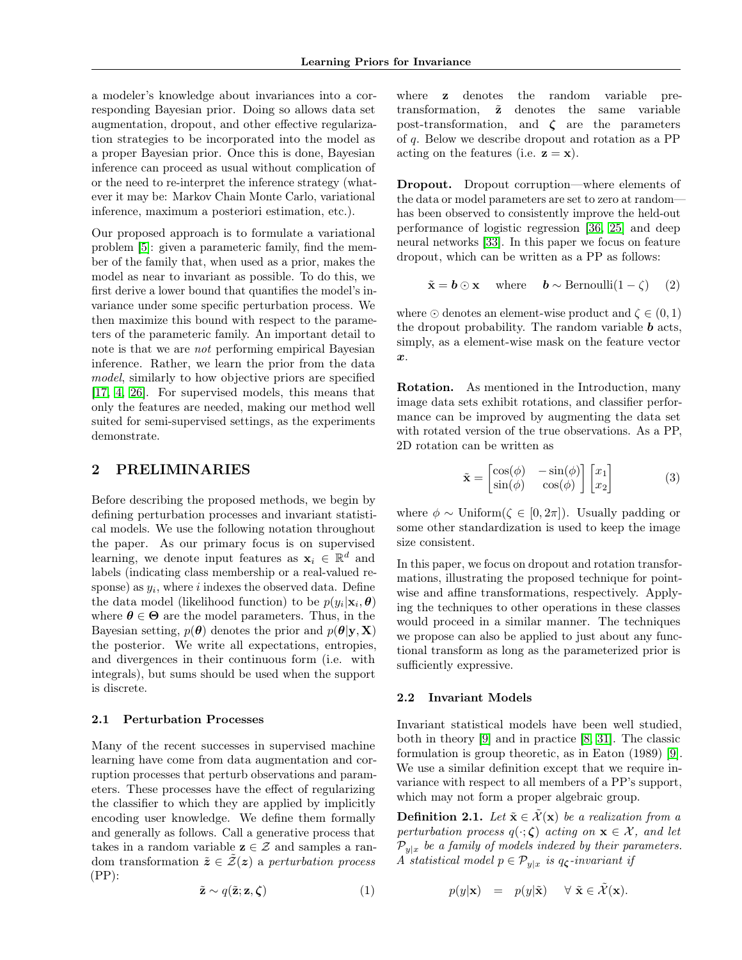a modeler's knowledge about invariances into a corresponding Bayesian prior. Doing so allows data set augmentation, dropout, and other effective regularization strategies to be incorporated into the model as a proper Bayesian prior. Once this is done, Bayesian inference can proceed as usual without complication of or the need to re-interpret the inference strategy (whatever it may be: Markov Chain Monte Carlo, variational inference, maximum a posteriori estimation, etc.).

Our proposed approach is to formulate a variational problem [\[5\]](#page-7-1): given a parameteric family, find the member of the family that, when used as a prior, makes the model as near to invariant as possible. To do this, we first derive a lower bound that quantifies the model's invariance under some specific perturbation process. We then maximize this bound with respect to the parameters of the parameteric family. An important detail to note is that we are not performing empirical Bayesian inference. Rather, we learn the prior from the data model, similarly to how objective priors are specified [\[17,](#page-8-5) [4,](#page-7-2) [26\]](#page-8-6). For supervised models, this means that only the features are needed, making our method well suited for semi-supervised settings, as the experiments demonstrate.

### 2 PRELIMINARIES

Before describing the proposed methods, we begin by defining perturbation processes and invariant statistical models. We use the following notation throughout the paper. As our primary focus is on supervised learning, we denote input features as  $\mathbf{x}_i \in \mathbb{R}^d$  and labels (indicating class membership or a real-valued response) as  $y_i$ , where i indexes the observed data. Define the data model (likelihood function) to be  $p(y_i|\mathbf{x}_i, \boldsymbol{\theta})$ where  $\theta \in \Theta$  are the model parameters. Thus, in the Bayesian setting,  $p(\theta)$  denotes the prior and  $p(\theta|\mathbf{y}, \mathbf{X})$ the posterior. We write all expectations, entropies, and divergences in their continuous form (i.e. with integrals), but sums should be used when the support is discrete.

#### 2.1 Perturbation Processes

Many of the recent successes in supervised machine learning have come from data augmentation and corruption processes that perturb observations and parameters. These processes have the effect of regularizing the classifier to which they are applied by implicitly encoding user knowledge. We define them formally and generally as follows. Call a generative process that takes in a random variable  $z \in \mathcal{Z}$  and samples a random transformation  $\tilde{z} \in \tilde{Z}(z)$  a perturbation process  $(PP)$ :

$$
\tilde{\mathbf{z}} \sim q(\tilde{\mathbf{z}}; \mathbf{z}, \boldsymbol{\zeta}) \tag{1}
$$

where **z** denotes the random variable pretransformation,  $\tilde{z}$  denotes the same variable post-transformation, and  $\zeta$  are the parameters of q. Below we describe dropout and rotation as a PP acting on the features (i.e.  $z = x$ ).

Dropout. Dropout corruption—where elements of the data or model parameters are set to zero at random has been observed to consistently improve the held-out performance of logistic regression [\[36,](#page-9-1) [25\]](#page-8-7) and deep neural networks [\[33\]](#page-9-2). In this paper we focus on feature dropout, which can be written as a PP as follows:

 $\tilde{\mathbf{x}} = \mathbf{b} \odot \mathbf{x}$  where  $\mathbf{b} \sim \text{Bernoulli}(1 - \zeta)$  (2)

where  $\odot$  denotes an element-wise product and  $\zeta \in (0,1)$ the dropout probability. The random variable  $\boldsymbol{b}$  acts, simply, as a element-wise mask on the feature vector  $\boldsymbol{x}$ .

Rotation. As mentioned in the Introduction, many image data sets exhibit rotations, and classifier performance can be improved by augmenting the data set with rotated version of the true observations. As a PP, 2D rotation can be written as

$$
\tilde{\mathbf{x}} = \begin{bmatrix} \cos(\phi) & -\sin(\phi) \\ \sin(\phi) & \cos(\phi) \end{bmatrix} \begin{bmatrix} x_1 \\ x_2 \end{bmatrix}
$$
 (3)

where  $\phi \sim$  Uniform( $\zeta \in [0, 2\pi]$ ). Usually padding or some other standardization is used to keep the image size consistent.

In this paper, we focus on dropout and rotation transformations, illustrating the proposed technique for pointwise and affine transformations, respectively. Applying the techniques to other operations in these classes would proceed in a similar manner. The techniques we propose can also be applied to just about any functional transform as long as the parameterized prior is sufficiently expressive.

#### 2.2 Invariant Models

Invariant statistical models have been well studied, both in theory [\[9\]](#page-8-8) and in practice [\[8,](#page-7-3) [31\]](#page-8-9). The classic formulation is group theoretic, as in Eaton (1989) [\[9\]](#page-8-8). We use a similar definition except that we require invariance with respect to all members of a PP's support, which may not form a proper algebraic group.

**Definition 2.1.** Let  $\tilde{\mathbf{x}} \in \tilde{\mathcal{X}}(\mathbf{x})$  be a realization from a perturbation process  $q(\cdot;\boldsymbol{\zeta})$  acting on  $\mathbf{x} \in \mathcal{X}$ , and let  $\mathcal{P}_{y|x}$  be a family of models indexed by their parameters. A statistical model  $p \in \mathcal{P}_{y|x}$  is  $q_{\zeta}$ -invariant if

$$
p(y|\mathbf{x}) = p(y|\tilde{\mathbf{x}}) \quad \forall \ \tilde{\mathbf{x}} \in \tilde{\mathcal{X}}(\mathbf{x}).
$$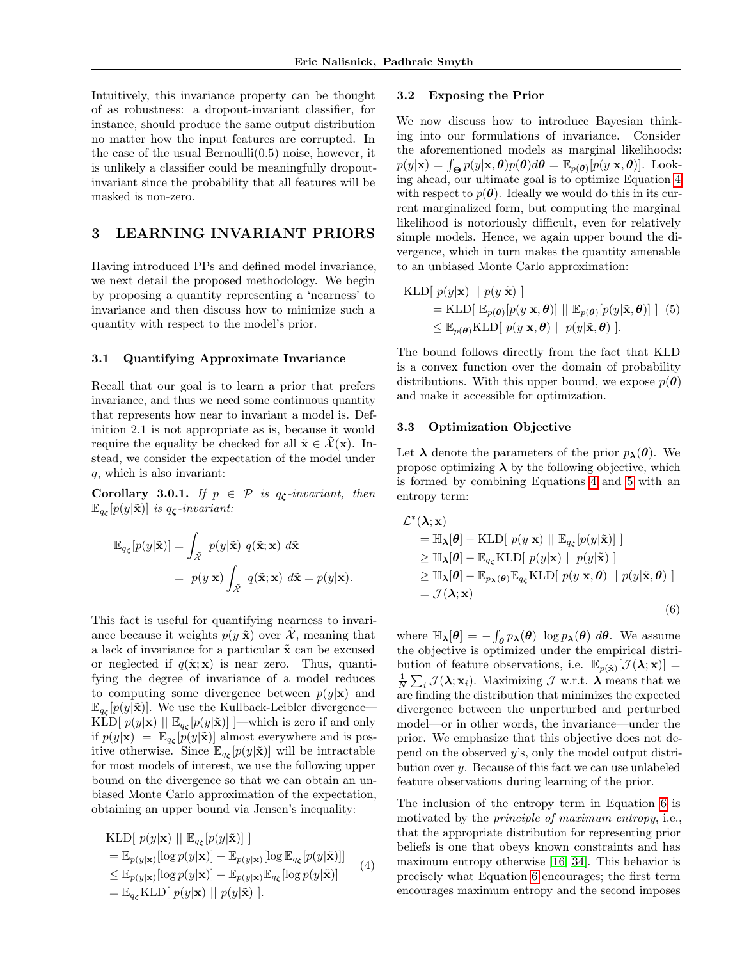Intuitively, this invariance property can be thought of as robustness: a dropout-invariant classifier, for instance, should produce the same output distribution no matter how the input features are corrupted. In the case of the usual Bernoulli $(0.5)$  noise, however, it is unlikely a classifier could be meaningfully dropoutinvariant since the probability that all features will be masked is non-zero.

### 3 LEARNING INVARIANT PRIORS

Having introduced PPs and defined model invariance, we next detail the proposed methodology. We begin by proposing a quantity representing a 'nearness' to invariance and then discuss how to minimize such a quantity with respect to the model's prior.

#### 3.1 Quantifying Approximate Invariance

Recall that our goal is to learn a prior that prefers invariance, and thus we need some continuous quantity that represents how near to invariant a model is. Definition 2.1 is not appropriate as is, because it would require the equality be checked for all  $\tilde{\mathbf{x}} \in \mathcal{X}(\mathbf{x})$ . Instead, we consider the expectation of the model under q, which is also invariant:

Corollary 3.0.1. If  $p \in \mathcal{P}$  is  $q_{\zeta}$ -invariant, then  $\mathbb{E}_{q_{\boldsymbol{\zeta}}}[p(y|\tilde{\mathbf{x}})]$  is  $q_{\boldsymbol{\zeta}}$ -invariant:

$$
\mathbb{E}_{q_{\zeta}}[p(y|\tilde{\mathbf{x}})] = \int_{\tilde{\mathcal{X}}} p(y|\tilde{\mathbf{x}}) q(\tilde{\mathbf{x}}; \mathbf{x}) d\tilde{\mathbf{x}} \n= p(y|\mathbf{x}) \int_{\tilde{\mathcal{X}}} q(\tilde{\mathbf{x}}; \mathbf{x}) d\tilde{\mathbf{x}} = p(y|\mathbf{x}).
$$

This fact is useful for quantifying nearness to invariance because it weights  $p(y|\tilde{x})$  over X, meaning that a lack of invariance for a particular  $\tilde{\mathbf{x}}$  can be excused or neglected if  $q(\tilde{\mathbf{x}}; \mathbf{x})$  is near zero. Thus, quantifying the degree of invariance of a model reduces to computing some divergence between  $p(y|\mathbf{x})$  and  $\mathbb{E}_{q_{\zeta}}[p(y|\tilde{\mathbf{x}})].$  We use the Kullback-Leibler divergence— KLD[ $p(y|\mathbf{x}) \parallel \mathbb{E}_{q_{\zeta}}[p(y|\tilde{\mathbf{x}})]$ ] —which is zero if and only if  $p(y|\mathbf{x}) = \mathbb{E}_{q_{\mathbf{c}}}[p(y|\tilde{\mathbf{x}})]$  almost everywhere and is positive otherwise. Since  $\mathbb{E}_{q_{\zeta}}[p(y|\tilde{\mathbf{x}})]$  will be intractable for most models of interest, we use the following upper bound on the divergence so that we can obtain an unbiased Monte Carlo approximation of the expectation, obtaining an upper bound via Jensen's inequality:

KLD[ 
$$
p(y|\mathbf{x}) || \mathbb{E}_{q_{\zeta}}[p(y|\tilde{\mathbf{x}})] ]
$$
  
\n=  $\mathbb{E}_{p(y|\mathbf{x})}[\log p(y|\mathbf{x})] - \mathbb{E}_{p(y|\mathbf{x})}[\log \mathbb{E}_{q_{\zeta}}[p(y|\tilde{\mathbf{x}})]]$   
\n $\leq \mathbb{E}_{p(y|\mathbf{x})}[\log p(y|\mathbf{x})] - \mathbb{E}_{p(y|\mathbf{x})} \mathbb{E}_{q_{\zeta}}[\log p(y|\tilde{\mathbf{x}})]$   
\n=  $\mathbb{E}_{q_{\zeta}}\text{KLD}[p(y|\mathbf{x}) || p(y|\tilde{\mathbf{x}})].$  (4)

#### 3.2 Exposing the Prior

We now discuss how to introduce Bayesian thinking into our formulations of invariance. Consider the aforementioned models as marginal likelihoods:  $p(y|\mathbf{x}) = \int_{\Theta} p(y|\mathbf{x}, \theta)p(\theta) d\theta = \mathbb{E}_{p(\theta)}[p(y|\mathbf{x}, \theta)].$  Looking ahead, our ultimate goal is to optimize Equation [4](#page-2-0) with respect to  $p(\theta)$ . Ideally we would do this in its current marginalized form, but computing the marginal likelihood is notoriously difficult, even for relatively simple models. Hence, we again upper bound the divergence, which in turn makes the quantity amenable to an unbiased Monte Carlo approximation:

<span id="page-2-1"></span>KLD[ 
$$
p(y|\mathbf{x}) || p(y|\tilde{\mathbf{x}})
$$
 ]  
\n= KLD[  $\mathbb{E}_{p(\boldsymbol{\theta})}[p(y|\mathbf{x}, \boldsymbol{\theta})] || \mathbb{E}_{p(\boldsymbol{\theta})}[p(y|\tilde{\mathbf{x}}, \boldsymbol{\theta})]$ ] (5)  
\n $\leq \mathbb{E}_{p(\boldsymbol{\theta})}$ KLD[  $p(y|\mathbf{x}, \boldsymbol{\theta}) || p(y|\tilde{\mathbf{x}}, \boldsymbol{\theta})$  ].

The bound follows directly from the fact that KLD is a convex function over the domain of probability distributions. With this upper bound, we expose  $p(\theta)$ and make it accessible for optimization.

#### 3.3 Optimization Objective

Let  $\lambda$  denote the parameters of the prior  $p_{\lambda}(\theta)$ . We propose optimizing  $\lambda$  by the following objective, which is formed by combining Equations [4](#page-2-0) and [5](#page-2-1) with an entropy term:

<span id="page-2-2"></span>
$$
\mathcal{L}^*(\lambda; \mathbf{x})
$$
\n
$$
= \mathbb{H}_{\lambda}[\theta] - \text{KLD}[p(y|\mathbf{x}) || \mathbb{E}_{q_{\zeta}}[p(y|\tilde{\mathbf{x}})]]
$$
\n
$$
\geq \mathbb{H}_{\lambda}[\theta] - \mathbb{E}_{q_{\zeta}} \text{KLD}[p(y|\mathbf{x}) || p(y|\tilde{\mathbf{x}})]
$$
\n
$$
\geq \mathbb{H}_{\lambda}[\theta] - \mathbb{E}_{p_{\lambda}(\theta)} \mathbb{E}_{q_{\zeta}} \text{KLD}[p(y|\mathbf{x}, \theta) || p(y|\tilde{\mathbf{x}}, \theta)]
$$
\n
$$
= \mathcal{J}(\lambda; \mathbf{x})
$$
\n(6)

where  $\mathbb{H}_{\lambda}[\theta] = -\int_{\theta} p_{\lambda}(\theta) \log p_{\lambda}(\theta) d\theta$ . We assume the objective is optimized under the empirical distribution of feature observations, i.e.  $\mathbb{E}_{p(\hat{\mathbf{x}})}[\mathcal{J}(\lambda;\mathbf{x})] =$  $\frac{1}{N} \sum_i \mathcal{J}(\lambda; \mathbf{x}_i)$ . Maximizing  $\mathcal{J}$  w.r.t.  $\lambda$  means that we are finding the distribution that minimizes the expected divergence between the unperturbed and perturbed model—or in other words, the invariance—under the prior. We emphasize that this objective does not depend on the observed y's, only the model output distribution over y. Because of this fact we can use unlabeled feature observations during learning of the prior.

<span id="page-2-0"></span>The inclusion of the entropy term in Equation [6](#page-2-2) is motivated by the principle of maximum entropy, i.e., that the appropriate distribution for representing prior beliefs is one that obeys known constraints and has maximum entropy otherwise [\[16,](#page-8-10) [34\]](#page-9-3). This behavior is precisely what Equation [6](#page-2-2) encourages; the first term encourages maximum entropy and the second imposes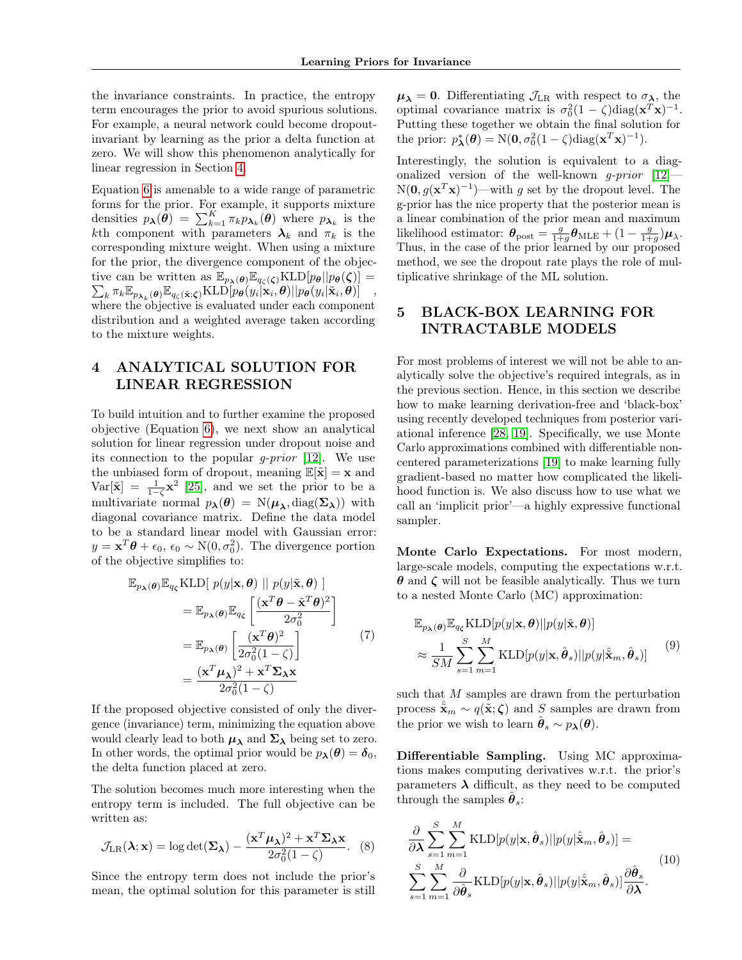the invariance constraints. In practice, the entropy term encourages the prior to avoid spurious solutions. For example, a neural network could become dropoutinvariant by learning as the prior a delta function at zero. We will show this phenomenon analytically for linear regression in Section [4.](#page-3-0)

Equation [6](#page-2-2) is amenable to a wide range of parametric forms for the prior. For example, it supports mixture densities  $p_{\boldsymbol{\lambda}}(\boldsymbol{\theta}) = \sum_{k=1}^K \pi_k p_{\boldsymbol{\lambda}_k}(\boldsymbol{\theta})$  where  $p_{\boldsymbol{\lambda}_k}$  is the kth component with parameters  $\lambda_k$  and  $\pi_k$  is the corresponding mixture weight. When using a mixture for the prior, the divergence component of the objective can be written as  $\mathbb{E}_{p_{\lambda}(\boldsymbol{\theta})} \mathbb{E}_{q_{\zeta}(\boldsymbol{\zeta})} \text{KLD}[p_{\boldsymbol{\theta}} || p_{\boldsymbol{\theta}}(\boldsymbol{\zeta})] =$  $\sum_k \pi_k \mathbb{E}_{p_{\boldsymbol{\lambda}_k}(\boldsymbol{\theta})} \mathbb{E}_{q_{\zeta}(\tilde{\mathbf{x}};\boldsymbol{\zeta})} \text{KLD}[\widetilde{p}_{\boldsymbol{\theta}}(y_i|\mathbf{x}_i,\boldsymbol{\theta}) || p_{\boldsymbol{\theta}}(y_i|\tilde{\mathbf{x}}_i,\boldsymbol{\theta})] \quad ,$ where the objective is evaluated under each component distribution and a weighted average taken according to the mixture weights.

### <span id="page-3-0"></span>4 ANALYTICAL SOLUTION FOR LINEAR REGRESSION

To build intuition and to further examine the proposed objective (Equation [6\)](#page-2-2), we next show an analytical solution for linear regression under dropout noise and its connection to the popular *g-prior* [\[12\]](#page-8-11). We use the unbiased form of dropout, meaning  $\mathbb{E}[\tilde{\mathbf{x}}] = \mathbf{x}$  and  $Var[\tilde{\mathbf{x}}] = \frac{1}{1-\zeta} \mathbf{x}^2$  [\[25\]](#page-8-7), and we set the prior to be a multivariate normal  $p_{\lambda}(\theta) = N(\mu_{\lambda}, \text{diag}(\Sigma_{\lambda}))$  with diagonal covariance matrix. Define the data model to be a standard linear model with Gaussian error:  $y = \mathbf{x}^T \boldsymbol{\theta} + \epsilon_0$ ,  $\epsilon_0 \sim N(0, \sigma_0^2)$ . The divergence portion of the objective simplifies to:

$$
\mathbb{E}_{p_{\lambda}(\theta)} \mathbb{E}_{q_{\zeta}} \text{KLD}[\ p(y|\mathbf{x}, \theta) \ || \ p(y|\tilde{\mathbf{x}}, \theta)]
$$
\n
$$
= \mathbb{E}_{p_{\lambda}(\theta)} \mathbb{E}_{q_{\zeta}} \left[ \frac{(\mathbf{x}^T \theta - \tilde{\mathbf{x}}^T \theta)^2}{2\sigma_0^2} \right]
$$
\n
$$
= \mathbb{E}_{p_{\lambda}(\theta)} \left[ \frac{(\mathbf{x}^T \theta)^2}{2\sigma_0^2 (1 - \zeta)} \right] \tag{7}
$$
\n
$$
= \frac{(\mathbf{x}^T \boldsymbol{\mu}_{\lambda})^2 + \mathbf{x}^T \boldsymbol{\Sigma}_{\lambda} \mathbf{x}}{2\sigma_0^2 (1 - \zeta)}
$$

If the proposed objective consisted of only the divergence (invariance) term, minimizing the equation above would clearly lead to both  $\mu_{\lambda}$  and  $\Sigma_{\lambda}$  being set to zero. In other words, the optimal prior would be  $p_{\lambda}(\theta) = \delta_0$ , the delta function placed at zero.

The solution becomes much more interesting when the entropy term is included. The full objective can be written as:

$$
\mathcal{J}_{LR}(\lambda; \mathbf{x}) = \log \det(\mathbf{\Sigma}_{\lambda}) - \frac{(\mathbf{x}^T \boldsymbol{\mu}_{\lambda})^2 + \mathbf{x}^T \mathbf{\Sigma}_{\lambda} \mathbf{x}}{2\sigma_0^2 (1 - \zeta)}.
$$
 (8)

Since the entropy term does not include the prior's mean, the optimal solution for this parameter is still  $\mu_{\lambda} = 0$ . Differentiating  $\mathcal{J}_{LR}$  with respect to  $\sigma_{\lambda}$ , the optimal covariance matrix is  $\sigma_0^2(1-\zeta)\text{diag}(\mathbf{x}^T\mathbf{x})^{-1}$ . Putting these together we obtain the final solution for the prior:  $p^*_{\lambda}(\theta) = N(0, \sigma_0^2(1-\zeta)\text{diag}(\mathbf{x}^T\mathbf{x})^{-1}).$ 

Interestingly, the solution is equivalent to a diagonalized version of the well-known *q-prior*  $[12]$ —  $N(\mathbf{0}, g(\mathbf{x}^T\mathbf{x})^{-1})$ —with g set by the dropout level. The g-prior has the nice property that the posterior mean is a linear combination of the prior mean and maximum likelihood estimator:  $\theta_{\text{post}} = \frac{g}{1+g} \theta_{\text{MLE}} + (1 - \frac{g}{1+g}) \mu_{\lambda}$ . Thus, in the case of the prior learned by our proposed method, we see the dropout rate plays the role of multiplicative shrinkage of the ML solution.

# 5 BLACK-BOX LEARNING FOR INTRACTABLE MODELS

For most problems of interest we will not be able to analytically solve the objective's required integrals, as in the previous section. Hence, in this section we describe how to make learning derivation-free and 'black-box' using recently developed techniques from posterior variational inference [\[28,](#page-8-12) [19\]](#page-8-13). Specifically, we use Monte Carlo approximations combined with differentiable noncentered parameterizations [\[19\]](#page-8-13) to make learning fully gradient-based no matter how complicated the likelihood function is. We also discuss how to use what we call an 'implicit prior'—a highly expressive functional sampler.

Monte Carlo Expectations. For most modern, large-scale models, computing the expectations w.r.t.  $\theta$  and  $\zeta$  will not be feasible analytically. Thus we turn to a nested Monte Carlo (MC) approximation:

<span id="page-3-1"></span>
$$
\mathbb{E}_{p_{\lambda}(\boldsymbol{\theta})} \mathbb{E}_{q_{\zeta}} \text{KLD}[p(y|\mathbf{x}, \boldsymbol{\theta}) || p(y|\tilde{\mathbf{x}}, \boldsymbol{\theta})]
$$
\n
$$
\approx \frac{1}{SM} \sum_{s=1}^{S} \sum_{m=1}^{M} \text{KLD}[p(y|\mathbf{x}, \hat{\boldsymbol{\theta}}_{s}) || p(y|\hat{\tilde{\mathbf{x}}}_{m}, \hat{\boldsymbol{\theta}}_{s})]
$$
\n(9)

such that  $M$  samples are drawn from the perturbation process  $\tilde{\mathbf{x}}_m \sim q(\tilde{\mathbf{x}}; \boldsymbol{\zeta})$  and S samples are drawn from the prior we wish to learn  $\hat{\boldsymbol{\theta}}_s \sim p_{\boldsymbol{\lambda}}(\boldsymbol{\theta}).$ 

Differentiable Sampling. Using MC approximations makes computing derivatives w.r.t. the prior's parameters  $\lambda$  difficult, as they need to be computed through the samples  $\hat{\theta}_s$ :

$$
\frac{\partial}{\partial \lambda} \sum_{s=1}^{S} \sum_{m=1}^{M} \text{KLD}[p(y|\mathbf{x}, \hat{\boldsymbol{\theta}}_s)||p(y|\hat{\tilde{\mathbf{x}}}_m, \hat{\boldsymbol{\theta}}_s)] =
$$
\n
$$
\sum_{s=1}^{S} \sum_{m=1}^{M} \frac{\partial}{\partial \hat{\boldsymbol{\theta}}_s} \text{KLD}[p(y|\mathbf{x}, \hat{\boldsymbol{\theta}}_s)||p(y|\hat{\tilde{\mathbf{x}}}_m, \hat{\boldsymbol{\theta}}_s)] \frac{\partial \hat{\boldsymbol{\theta}}_s}{\partial \lambda}.
$$
\n(10)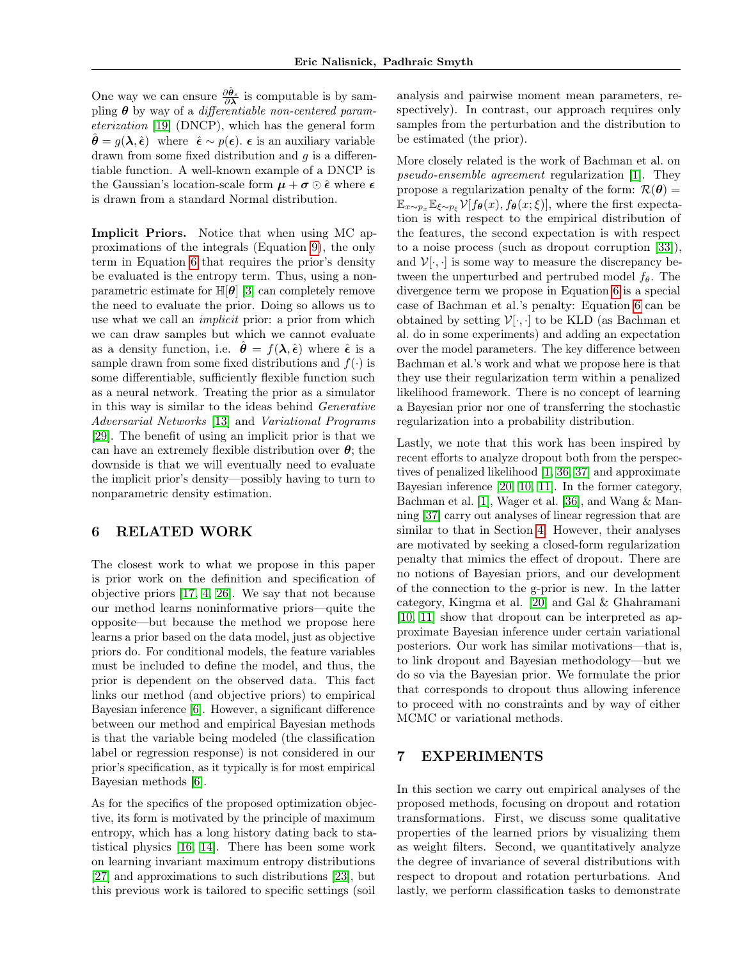One way we can ensure  $\frac{\partial \hat{\theta}_s}{\partial \lambda}$  is computable is by sampling  $\theta$  by way of a *differentiable non-centered param*eterization [\[19\]](#page-8-13) (DNCP), which has the general form  $\hat{\boldsymbol{\theta}} = g(\boldsymbol{\lambda}, \hat{\boldsymbol{\epsilon}})$  where  $\hat{\boldsymbol{\epsilon}} \sim p(\boldsymbol{\epsilon})$ .  $\boldsymbol{\epsilon}$  is an auxiliary variable drawn from some fixed distribution and  $q$  is a differentiable function. A well-known example of a DNCP is the Gaussian's location-scale form  $\mu + \sigma \odot \hat{\epsilon}$  where  $\epsilon$ is drawn from a standard Normal distribution.

Implicit Priors. Notice that when using MC approximations of the integrals (Equation [9\)](#page-3-1), the only term in Equation [6](#page-2-2) that requires the prior's density be evaluated is the entropy term. Thus, using a nonparametric estimate for  $\mathbb{H}[\theta]$  [\[3\]](#page-7-4) can completely remove the need to evaluate the prior. Doing so allows us to use what we call an implicit prior: a prior from which we can draw samples but which we cannot evaluate as a density function, i.e.  $\hat{\theta} = f(\lambda, \hat{\epsilon})$  where  $\hat{\epsilon}$  is a sample drawn from some fixed distributions and  $f(.)$  is some differentiable, sufficiently flexible function such as a neural network. Treating the prior as a simulator in this way is similar to the ideas behind Generative Adversarial Networks [\[13\]](#page-8-14) and Variational Programs [\[29\]](#page-8-15). The benefit of using an implicit prior is that we can have an extremely flexible distribution over  $\theta$ ; the downside is that we will eventually need to evaluate the implicit prior's density—possibly having to turn to nonparametric density estimation.

### 6 RELATED WORK

The closest work to what we propose in this paper is prior work on the definition and specification of objective priors [\[17,](#page-8-5) [4,](#page-7-2) [26\]](#page-8-6). We say that not because our method learns noninformative priors—quite the opposite—but because the method we propose here learns a prior based on the data model, just as objective priors do. For conditional models, the feature variables must be included to define the model, and thus, the prior is dependent on the observed data. This fact links our method (and objective priors) to empirical Bayesian inference [\[6\]](#page-7-5). However, a significant difference between our method and empirical Bayesian methods is that the variable being modeled (the classification label or regression response) is not considered in our prior's specification, as it typically is for most empirical Bayesian methods [\[6\]](#page-7-5).

As for the specifics of the proposed optimization objective, its form is motivated by the principle of maximum entropy, which has a long history dating back to statistical physics [\[16,](#page-8-10) [14\]](#page-8-16). There has been some work on learning invariant maximum entropy distributions [\[27\]](#page-8-17) and approximations to such distributions [\[23\]](#page-8-18), but this previous work is tailored to specific settings (soil analysis and pairwise moment mean parameters, respectively). In contrast, our approach requires only samples from the perturbation and the distribution to be estimated (the prior).

More closely related is the work of Bachman et al. on pseudo-ensemble agreement regularization [\[1\]](#page-7-6). They propose a regularization penalty of the form:  $\mathcal{R}(\theta) =$  $\mathbb{E}_{x\sim p_x}\mathbb{E}_{\xi\sim p_{\xi}}\mathcal{V}[f_{\theta}(x),f_{\theta}(x;\xi)],$  where the first expectation is with respect to the empirical distribution of the features, the second expectation is with respect to a noise process (such as dropout corruption [\[33\]](#page-9-2)), and  $\mathcal{V}[\cdot,\cdot]$  is some way to measure the discrepancy between the unperturbed and pertrubed model  $f_{\theta}$ . The divergence term we propose in Equation [6](#page-2-2) is a special case of Bachman et al.'s penalty: Equation [6](#page-2-2) can be obtained by setting  $V[\cdot, \cdot]$  to be KLD (as Bachman et al. do in some experiments) and adding an expectation over the model parameters. The key difference between Bachman et al.'s work and what we propose here is that they use their regularization term within a penalized likelihood framework. There is no concept of learning a Bayesian prior nor one of transferring the stochastic regularization into a probability distribution.

Lastly, we note that this work has been inspired by recent efforts to analyze dropout both from the perspectives of penalized likelihood [\[1,](#page-7-6) [36,](#page-9-1) [37\]](#page-9-4) and approximate Bayesian inference [\[20,](#page-8-4) [10,](#page-8-2) [11\]](#page-8-3). In the former category, Bachman et al. [\[1\]](#page-7-6), Wager et al. [\[36\]](#page-9-1), and Wang & Manning [\[37\]](#page-9-4) carry out analyses of linear regression that are similar to that in Section [4.](#page-3-0) However, their analyses are motivated by seeking a closed-form regularization penalty that mimics the effect of dropout. There are no notions of Bayesian priors, and our development of the connection to the g-prior is new. In the latter category, Kingma et al. [\[20\]](#page-8-4) and Gal & Ghahramani [\[10,](#page-8-2) [11\]](#page-8-3) show that dropout can be interpreted as approximate Bayesian inference under certain variational posteriors. Our work has similar motivations—that is, to link dropout and Bayesian methodology—but we do so via the Bayesian prior. We formulate the prior that corresponds to dropout thus allowing inference to proceed with no constraints and by way of either MCMC or variational methods.

### 7 EXPERIMENTS

In this section we carry out empirical analyses of the proposed methods, focusing on dropout and rotation transformations. First, we discuss some qualitative properties of the learned priors by visualizing them as weight filters. Second, we quantitatively analyze the degree of invariance of several distributions with respect to dropout and rotation perturbations. And lastly, we perform classification tasks to demonstrate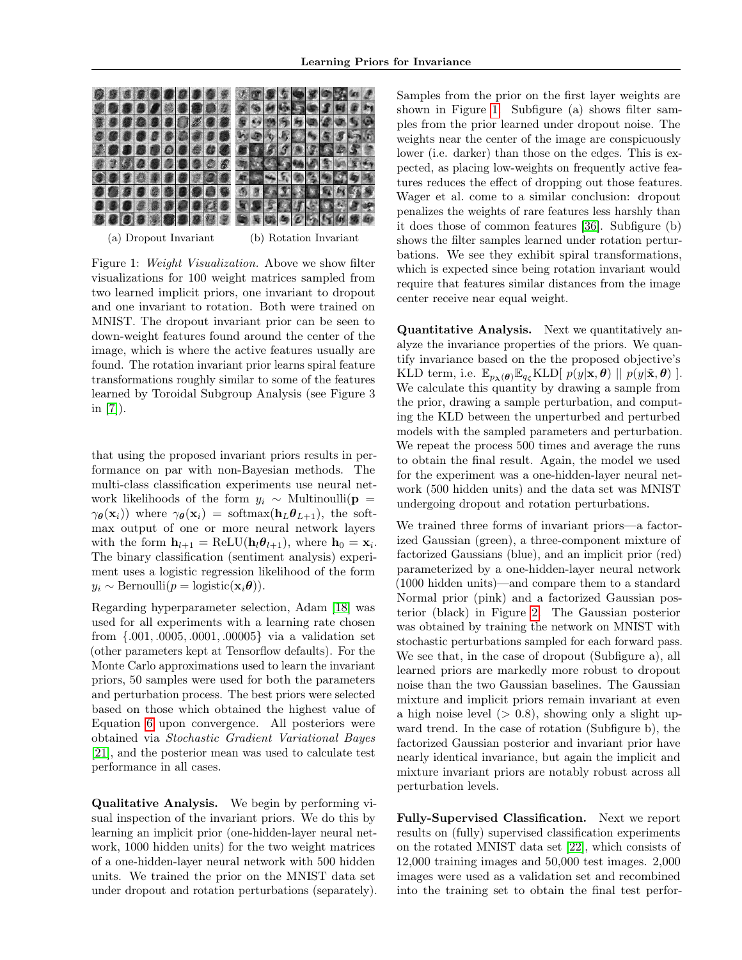<span id="page-5-0"></span>

(a) Dropout Invariant (b) Rotation Invariant

Figure 1: Weight Visualization. Above we show filter visualizations for 100 weight matrices sampled from two learned implicit priors, one invariant to dropout and one invariant to rotation. Both were trained on MNIST. The dropout invariant prior can be seen to down-weight features found around the center of the image, which is where the active features usually are found. The rotation invariant prior learns spiral feature transformations roughly similar to some of the features learned by Toroidal Subgroup Analysis (see Figure 3 in  $|7|$ ).

that using the proposed invariant priors results in performance on par with non-Bayesian methods. The multi-class classification experiments use neural network likelihoods of the form  $y_i \sim$  Multinoulli(p =  $\gamma_{\theta}(\mathbf{x}_i)$ ) where  $\gamma_{\theta}(\mathbf{x}_i)$  = softmax( $\mathbf{h}_L \theta_{L+1}$ ), the softmax output of one or more neural network layers with the form  $\mathbf{h}_{l+1} = \text{ReLU}(\mathbf{h}_l \boldsymbol{\theta}_{l+1}),$  where  $\mathbf{h}_0 = \mathbf{x}_i$ . The binary classification (sentiment analysis) experiment uses a logistic regression likelihood of the form  $y_i \sim \text{Bernoulli}(p = \text{logistic}(\mathbf{x}_i \boldsymbol{\theta})).$ 

Regarding hyperparameter selection, Adam [\[18\]](#page-8-19) was used for all experiments with a learning rate chosen from {.001, .0005, .0001, .00005} via a validation set (other parameters kept at Tensorflow defaults). For the Monte Carlo approximations used to learn the invariant priors, 50 samples were used for both the parameters and perturbation process. The best priors were selected based on those which obtained the highest value of Equation [6](#page-2-2) upon convergence. All posteriors were obtained via Stochastic Gradient Variational Bayes [\[21\]](#page-8-20), and the posterior mean was used to calculate test performance in all cases.

Qualitative Analysis. We begin by performing visual inspection of the invariant priors. We do this by learning an implicit prior (one-hidden-layer neural network, 1000 hidden units) for the two weight matrices of a one-hidden-layer neural network with 500 hidden units. We trained the prior on the MNIST data set under dropout and rotation perturbations (separately).

Samples from the prior on the first layer weights are shown in Figure [1.](#page-5-0) Subfigure (a) shows filter samples from the prior learned under dropout noise. The weights near the center of the image are conspicuously lower (i.e. darker) than those on the edges. This is expected, as placing low-weights on frequently active features reduces the effect of dropping out those features. Wager et al. come to a similar conclusion: dropout penalizes the weights of rare features less harshly than it does those of common features [\[36\]](#page-9-1). Subfigure (b) shows the filter samples learned under rotation perturbations. We see they exhibit spiral transformations, which is expected since being rotation invariant would require that features similar distances from the image center receive near equal weight.

Quantitative Analysis. Next we quantitatively analyze the invariance properties of the priors. We quantify invariance based on the the proposed objective's KLD term, i.e.  $\mathbb{E}_{p_{\lambda}(\boldsymbol{\theta})} \mathbb{E}_{q_{\zeta}}$ KLD[  $p(y|\mathbf{x}, \boldsymbol{\theta}) || p(y|\tilde{\mathbf{x}}, \boldsymbol{\theta})$  ]. We calculate this quantity by drawing a sample from the prior, drawing a sample perturbation, and computing the KLD between the unperturbed and perturbed models with the sampled parameters and perturbation. We repeat the process 500 times and average the runs to obtain the final result. Again, the model we used for the experiment was a one-hidden-layer neural network (500 hidden units) and the data set was MNIST undergoing dropout and rotation perturbations.

We trained three forms of invariant priors—a factorized Gaussian (green), a three-component mixture of factorized Gaussians (blue), and an implicit prior (red) parameterized by a one-hidden-layer neural network (1000 hidden units)—and compare them to a standard Normal prior (pink) and a factorized Gaussian posterior (black) in Figure [2.](#page-6-0) The Gaussian posterior was obtained by training the network on MNIST with stochastic perturbations sampled for each forward pass. We see that, in the case of dropout (Subfigure a), all learned priors are markedly more robust to dropout noise than the two Gaussian baselines. The Gaussian mixture and implicit priors remain invariant at even a high noise level  $(> 0.8)$ , showing only a slight upward trend. In the case of rotation (Subfigure b), the factorized Gaussian posterior and invariant prior have nearly identical invariance, but again the implicit and mixture invariant priors are notably robust across all perturbation levels.

Fully-Supervised Classification. Next we report results on (fully) supervised classification experiments on the rotated MNIST data set [\[22\]](#page-8-21), which consists of 12,000 training images and 50,000 test images. 2,000 images were used as a validation set and recombined into the training set to obtain the final test perfor-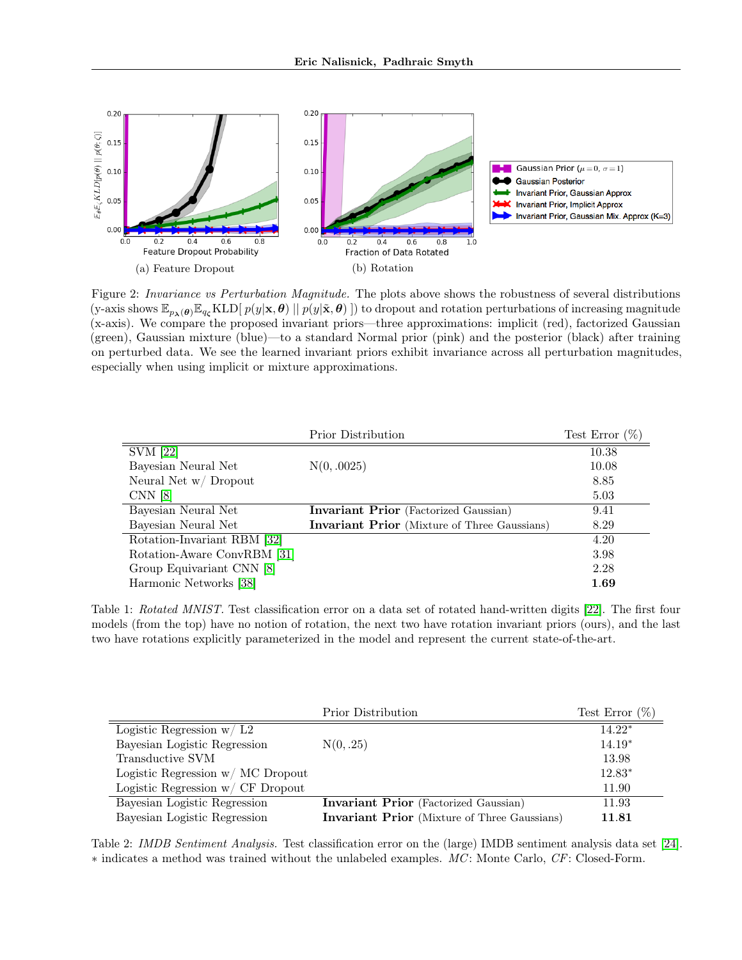<span id="page-6-0"></span>

Figure 2: Invariance vs Perturbation Magnitude. The plots above shows the robustness of several distributions (y-axis shows  $\mathbb{E}_{p_{\lambda}(\boldsymbol{\theta})}\mathbb{E}_{q_{\zeta}}\text{KLD}[p(y|\mathbf{x},\boldsymbol{\theta})||p(y|\tilde{\mathbf{x}},\boldsymbol{\theta})])$  to dropout and rotation perturbations of increasing magnitude (x-axis). We compare the proposed invariant priors—three approximations: implicit (red), factorized Gaussian (green), Gaussian mixture (blue)—to a standard Normal prior (pink) and the posterior (black) after training on perturbed data. We see the learned invariant priors exhibit invariance across all perturbation magnitudes, especially when using implicit or mixture approximations.

<span id="page-6-1"></span>

|                             | Prior Distribution                                  | Test Error $(\%)$ |
|-----------------------------|-----------------------------------------------------|-------------------|
| <b>SVM</b> [22]             |                                                     | 10.38             |
| Bayesian Neural Net         | N(0, .0025)                                         | 10.08             |
| Neural Net w/ Dropout       |                                                     | 8.85              |
| CNN <sub>8</sub>            |                                                     | 5.03              |
| Bayesian Neural Net         | <b>Invariant Prior</b> (Factorized Gaussian)        | 9.41              |
| Bayesian Neural Net         | <b>Invariant Prior</b> (Mixture of Three Gaussians) | 8.29              |
| Rotation-Invariant RBM [32] |                                                     | 4.20              |
| Rotation-Aware ConvRBM [31] |                                                     | 3.98              |
| Group Equivariant CNN [8]   |                                                     | 2.28              |
| Harmonic Networks [38]      |                                                     | 1.69              |

Table 1: Rotated MNIST. Test classification error on a data set of rotated hand-written digits [\[22\]](#page-8-21). The first four models (from the top) have no notion of rotation, the next two have rotation invariant priors (ours), and the last two have rotations explicitly parameterized in the model and represent the current state-of-the-art.

<span id="page-6-2"></span>

|                                   | Prior Distribution                                  | Test Error $(\%)$ |
|-----------------------------------|-----------------------------------------------------|-------------------|
| Logistic Regression $w/L2$        |                                                     | $14.22*$          |
| Bayesian Logistic Regression      | N(0, .25)                                           | $14.19*$          |
| Transductive SVM                  |                                                     | 13.98             |
| Logistic Regression w/ MC Dropout |                                                     | $12.83*$          |
| Logistic Regression w/ CF Dropout |                                                     | 11.90             |
| Bayesian Logistic Regression      | <b>Invariant Prior</b> (Factorized Gaussian)        | 11.93             |
| Bayesian Logistic Regression      | <b>Invariant Prior</b> (Mixture of Three Gaussians) | 11.81             |

Table 2: IMDB Sentiment Analysis. Test classification error on the (large) IMDB sentiment analysis data set [\[24\]](#page-8-22). ∗ indicates a method was trained without the unlabeled examples. MC : Monte Carlo, CF: Closed-Form.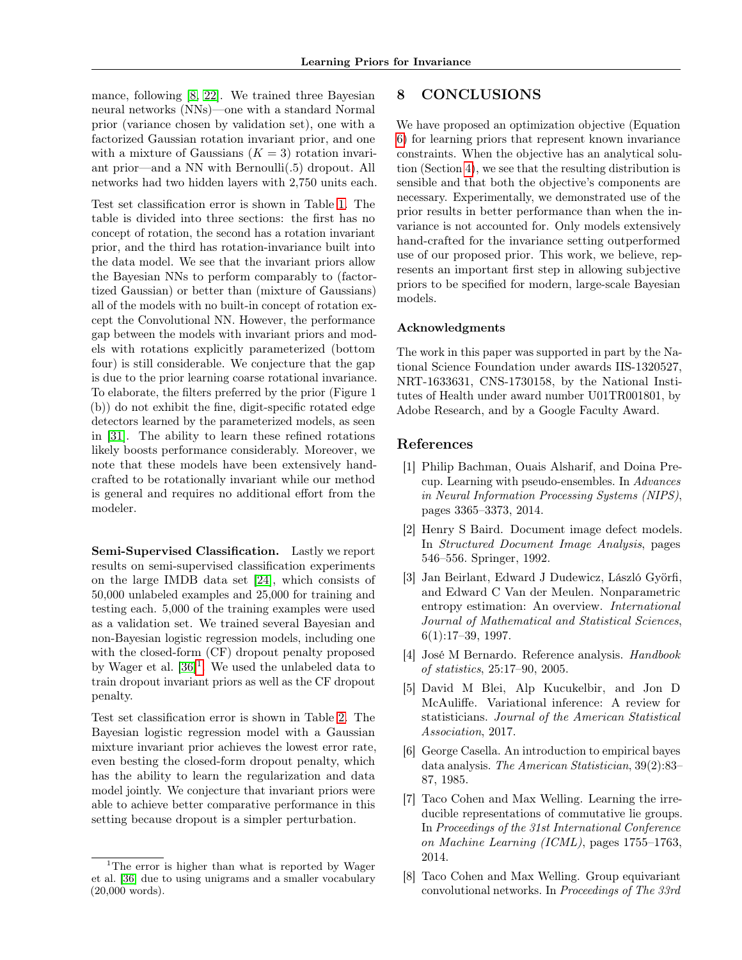mance, following [\[8,](#page-7-3) [22\]](#page-8-21). We trained three Bayesian neural networks (NNs)—one with a standard Normal prior (variance chosen by validation set), one with a factorized Gaussian rotation invariant prior, and one with a mixture of Gaussians  $(K = 3)$  rotation invariant prior—and a NN with Bernoulli(.5) dropout. All networks had two hidden layers with 2,750 units each.

Test set classification error is shown in Table [1.](#page-6-1) The table is divided into three sections: the first has no concept of rotation, the second has a rotation invariant prior, and the third has rotation-invariance built into the data model. We see that the invariant priors allow the Bayesian NNs to perform comparably to (factortized Gaussian) or better than (mixture of Gaussians) all of the models with no built-in concept of rotation except the Convolutional NN. However, the performance gap between the models with invariant priors and models with rotations explicitly parameterized (bottom four) is still considerable. We conjecture that the gap is due to the prior learning coarse rotational invariance. To elaborate, the filters preferred by the prior (Figure 1 (b)) do not exhibit the fine, digit-specific rotated edge detectors learned by the parameterized models, as seen in [\[31\]](#page-8-9). The ability to learn these refined rotations likely boosts performance considerably. Moreover, we note that these models have been extensively handcrafted to be rotationally invariant while our method is general and requires no additional effort from the modeler.

Semi-Supervised Classification. Lastly we report results on semi-supervised classification experiments on the large IMDB data set [\[24\]](#page-8-22), which consists of 50,000 unlabeled examples and 25,000 for training and testing each. 5,000 of the training examples were used as a validation set. We trained several Bayesian and non-Bayesian logistic regression models, including one with the closed-form (CF) dropout penalty proposed by Wager et al. [\[36\]](#page-9-1) [1](#page-7-8) . We used the unlabeled data to train dropout invariant priors as well as the CF dropout penalty.

Test set classification error is shown in Table [2.](#page-6-2) The Bayesian logistic regression model with a Gaussian mixture invariant prior achieves the lowest error rate, even besting the closed-form dropout penalty, which has the ability to learn the regularization and data model jointly. We conjecture that invariant priors were able to achieve better comparative performance in this setting because dropout is a simpler perturbation.

## 8 CONCLUSIONS

We have proposed an optimization objective (Equation [6\)](#page-2-2) for learning priors that represent known invariance constraints. When the objective has an analytical solution (Section [4\)](#page-3-0), we see that the resulting distribution is sensible and that both the objective's components are necessary. Experimentally, we demonstrated use of the prior results in better performance than when the invariance is not accounted for. Only models extensively hand-crafted for the invariance setting outperformed use of our proposed prior. This work, we believe, represents an important first step in allowing subjective priors to be specified for modern, large-scale Bayesian models.

#### Acknowledgments

The work in this paper was supported in part by the National Science Foundation under awards IIS-1320527, NRT-1633631, CNS-1730158, by the National Institutes of Health under award number U01TR001801, by Adobe Research, and by a Google Faculty Award.

#### References

- <span id="page-7-6"></span>[1] Philip Bachman, Ouais Alsharif, and Doina Precup. Learning with pseudo-ensembles. In Advances in Neural Information Processing Systems (NIPS), pages 3365–3373, 2014.
- <span id="page-7-0"></span>[2] Henry S Baird. Document image defect models. In Structured Document Image Analysis, pages 546–556. Springer, 1992.
- <span id="page-7-4"></span>[3] Jan Beirlant, Edward J Dudewicz, László Györfi, and Edward C Van der Meulen. Nonparametric entropy estimation: An overview. International Journal of Mathematical and Statistical Sciences, 6(1):17–39, 1997.
- <span id="page-7-2"></span>[4] José M Bernardo. Reference analysis. Handbook of statistics, 25:17–90, 2005.
- <span id="page-7-1"></span>[5] David M Blei, Alp Kucukelbir, and Jon D McAuliffe. Variational inference: A review for statisticians. Journal of the American Statistical Association, 2017.
- <span id="page-7-5"></span>[6] George Casella. An introduction to empirical bayes data analysis. The American Statistician, 39(2):83– 87, 1985.
- <span id="page-7-7"></span>[7] Taco Cohen and Max Welling. Learning the irreducible representations of commutative lie groups. In Proceedings of the 31st International Conference on Machine Learning (ICML), pages 1755–1763, 2014.
- <span id="page-7-3"></span>[8] Taco Cohen and Max Welling. Group equivariant convolutional networks. In Proceedings of The 33rd

<span id="page-7-8"></span><sup>&</sup>lt;sup>1</sup>The error is higher than what is reported by Wager et al. [\[36\]](#page-9-1) due to using unigrams and a smaller vocabulary (20,000 words).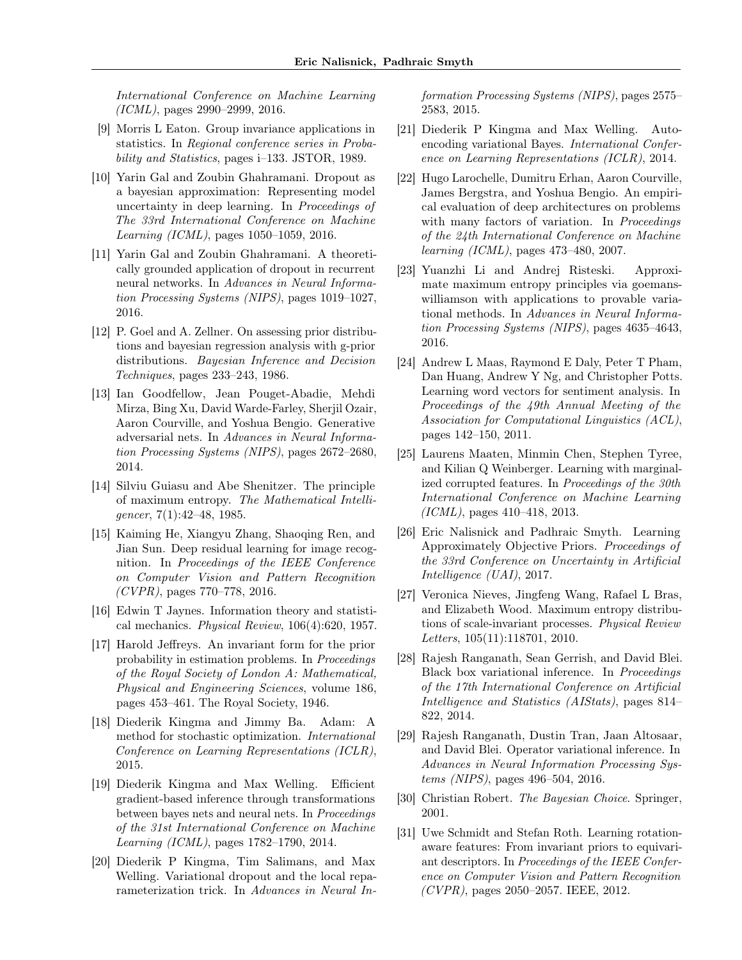International Conference on Machine Learning (ICML), pages 2990–2999, 2016.

- <span id="page-8-8"></span>[9] Morris L Eaton. Group invariance applications in statistics. In Regional conference series in Probability and Statistics, pages i–133. JSTOR, 1989.
- <span id="page-8-2"></span>[10] Yarin Gal and Zoubin Ghahramani. Dropout as a bayesian approximation: Representing model uncertainty in deep learning. In Proceedings of The 33rd International Conference on Machine Learning (ICML), pages 1050–1059, 2016.
- <span id="page-8-3"></span>[11] Yarin Gal and Zoubin Ghahramani. A theoretically grounded application of dropout in recurrent neural networks. In Advances in Neural Information Processing Systems (NIPS), pages 1019–1027, 2016.
- <span id="page-8-11"></span>[12] P. Goel and A. Zellner. On assessing prior distributions and bayesian regression analysis with g-prior distributions. Bayesian Inference and Decision Techniques, pages 233–243, 1986.
- <span id="page-8-14"></span>[13] Ian Goodfellow, Jean Pouget-Abadie, Mehdi Mirza, Bing Xu, David Warde-Farley, Sherjil Ozair, Aaron Courville, and Yoshua Bengio. Generative adversarial nets. In Advances in Neural Information Processing Systems (NIPS), pages 2672–2680, 2014.
- <span id="page-8-16"></span>[14] Silviu Guiasu and Abe Shenitzer. The principle of maximum entropy. The Mathematical Intelligencer,  $7(1):42-48$ , 1985.
- <span id="page-8-1"></span>[15] Kaiming He, Xiangyu Zhang, Shaoqing Ren, and Jian Sun. Deep residual learning for image recognition. In Proceedings of the IEEE Conference on Computer Vision and Pattern Recognition  $(CVPR)$ , pages 770–778, 2016.
- <span id="page-8-10"></span>[16] Edwin T Jaynes. Information theory and statistical mechanics. Physical Review, 106(4):620, 1957.
- <span id="page-8-5"></span>[17] Harold Jeffreys. An invariant form for the prior probability in estimation problems. In Proceedings of the Royal Society of London A: Mathematical, Physical and Engineering Sciences, volume 186, pages 453–461. The Royal Society, 1946.
- <span id="page-8-19"></span>[18] Diederik Kingma and Jimmy Ba. Adam: A method for stochastic optimization. International Conference on Learning Representations (ICLR), 2015.
- <span id="page-8-13"></span>[19] Diederik Kingma and Max Welling. Efficient gradient-based inference through transformations between bayes nets and neural nets. In Proceedings of the 31st International Conference on Machine Learning (ICML), pages 1782–1790, 2014.
- <span id="page-8-4"></span>[20] Diederik P Kingma, Tim Salimans, and Max Welling. Variational dropout and the local reparameterization trick. In Advances in Neural In-

formation Processing Systems (NIPS), pages 2575– 2583, 2015.

- <span id="page-8-20"></span>[21] Diederik P Kingma and Max Welling. Autoencoding variational Bayes. International Conference on Learning Representations (ICLR), 2014.
- <span id="page-8-21"></span>[22] Hugo Larochelle, Dumitru Erhan, Aaron Courville, James Bergstra, and Yoshua Bengio. An empirical evaluation of deep architectures on problems with many factors of variation. In Proceedings of the 24th International Conference on Machine learning (ICML), pages 473–480, 2007.
- <span id="page-8-18"></span>[23] Yuanzhi Li and Andrej Risteski. Approximate maximum entropy principles via goemanswilliamson with applications to provable variational methods. In Advances in Neural Information Processing Systems (NIPS), pages 4635–4643, 2016.
- <span id="page-8-22"></span>[24] Andrew L Maas, Raymond E Daly, Peter T Pham, Dan Huang, Andrew Y Ng, and Christopher Potts. Learning word vectors for sentiment analysis. In Proceedings of the 49th Annual Meeting of the Association for Computational Linguistics (ACL), pages 142–150, 2011.
- <span id="page-8-7"></span>[25] Laurens Maaten, Minmin Chen, Stephen Tyree, and Kilian Q Weinberger. Learning with marginalized corrupted features. In Proceedings of the 30th International Conference on Machine Learning (ICML), pages 410–418, 2013.
- <span id="page-8-6"></span>[26] Eric Nalisnick and Padhraic Smyth. Learning Approximately Objective Priors. Proceedings of the 33rd Conference on Uncertainty in Artificial Intelligence (UAI), 2017.
- <span id="page-8-17"></span>[27] Veronica Nieves, Jingfeng Wang, Rafael L Bras, and Elizabeth Wood. Maximum entropy distributions of scale-invariant processes. Physical Review Letters, 105(11):118701, 2010.
- <span id="page-8-12"></span>[28] Rajesh Ranganath, Sean Gerrish, and David Blei. Black box variational inference. In Proceedings of the 17th International Conference on Artificial Intelligence and Statistics (AIStats), pages 814– 822, 2014.
- <span id="page-8-15"></span>[29] Rajesh Ranganath, Dustin Tran, Jaan Altosaar, and David Blei. Operator variational inference. In Advances in Neural Information Processing Systems (NIPS), pages 496–504, 2016.
- <span id="page-8-0"></span>[30] Christian Robert. The Bayesian Choice. Springer, 2001.
- <span id="page-8-9"></span>[31] Uwe Schmidt and Stefan Roth. Learning rotationaware features: From invariant priors to equivariant descriptors. In Proceedings of the IEEE Conference on Computer Vision and Pattern Recognition  $(CVPR)$ , pages 2050–2057. IEEE, 2012.